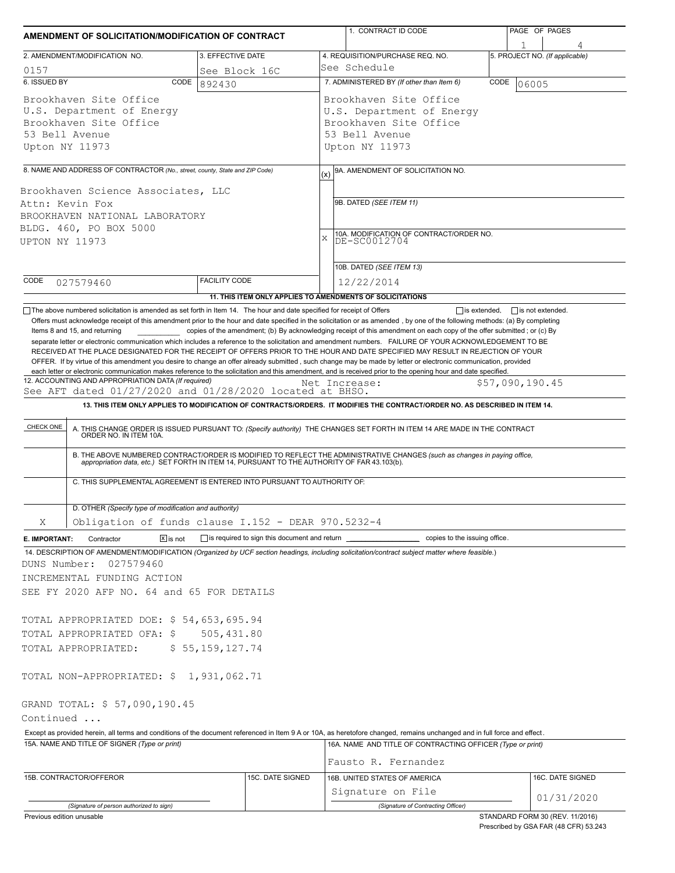| AMENDMENT OF SOLICITATION/MODIFICATION OF CONTRACT                                                                                                                                                                                                                                                                                                                                                                                                                                                                        |                                                                                  | 1. CONTRACT ID CODE                                                                                                                                                                                                                                                                                                                                                          | PAGE OF PAGES                       |  |  |  |  |  |  |
|---------------------------------------------------------------------------------------------------------------------------------------------------------------------------------------------------------------------------------------------------------------------------------------------------------------------------------------------------------------------------------------------------------------------------------------------------------------------------------------------------------------------------|----------------------------------------------------------------------------------|------------------------------------------------------------------------------------------------------------------------------------------------------------------------------------------------------------------------------------------------------------------------------------------------------------------------------------------------------------------------------|-------------------------------------|--|--|--|--|--|--|
| 2. AMENDMENT/MODIFICATION NO.                                                                                                                                                                                                                                                                                                                                                                                                                                                                                             | 3. EFFECTIVE DATE                                                                | 4. REQUISITION/PURCHASE REQ. NO.                                                                                                                                                                                                                                                                                                                                             | 1<br>5. PROJECT NO. (If applicable) |  |  |  |  |  |  |
| 0157                                                                                                                                                                                                                                                                                                                                                                                                                                                                                                                      | See Block 16C                                                                    | See Schedule                                                                                                                                                                                                                                                                                                                                                                 |                                     |  |  |  |  |  |  |
| 6. ISSUED BY<br>CODE                                                                                                                                                                                                                                                                                                                                                                                                                                                                                                      | 892430                                                                           | 7. ADMINISTERED BY (If other than Item 6)                                                                                                                                                                                                                                                                                                                                    | CODE<br>06005                       |  |  |  |  |  |  |
| Brookhaven Site Office<br>U.S. Department of Energy<br>Brookhaven Site Office<br>53 Bell Avenue<br>Upton NY 11973                                                                                                                                                                                                                                                                                                                                                                                                         |                                                                                  | Brookhaven Site Office<br>U.S. Department of Energy<br>Brookhaven Site Office<br>53 Bell Avenue<br>Upton NY 11973                                                                                                                                                                                                                                                            |                                     |  |  |  |  |  |  |
| 8. NAME AND ADDRESS OF CONTRACTOR (No., street, county, State and ZIP Code)                                                                                                                                                                                                                                                                                                                                                                                                                                               |                                                                                  | 9A. AMENDMENT OF SOLICITATION NO.                                                                                                                                                                                                                                                                                                                                            |                                     |  |  |  |  |  |  |
| Brookhaven Science Associates, LLC<br>Attn: Kevin Fox<br>BROOKHAVEN NATIONAL LABORATORY<br>BLDG. 460, PO BOX 5000<br>UPTON NY 11973                                                                                                                                                                                                                                                                                                                                                                                       |                                                                                  | (x)<br>9B. DATED (SEE ITEM 11)<br>10A. MODIFICATION OF CONTRACT/ORDER NO.<br>DE-SC0012704<br>$\mathbf x$                                                                                                                                                                                                                                                                     |                                     |  |  |  |  |  |  |
|                                                                                                                                                                                                                                                                                                                                                                                                                                                                                                                           |                                                                                  | 10B. DATED (SEE ITEM 13)                                                                                                                                                                                                                                                                                                                                                     |                                     |  |  |  |  |  |  |
| CODE<br>027579460                                                                                                                                                                                                                                                                                                                                                                                                                                                                                                         | <b>FACILITY CODE</b>                                                             | 12/22/2014                                                                                                                                                                                                                                                                                                                                                                   |                                     |  |  |  |  |  |  |
|                                                                                                                                                                                                                                                                                                                                                                                                                                                                                                                           |                                                                                  | 11. THIS ITEM ONLY APPLIES TO AMENDMENTS OF SOLICITATIONS                                                                                                                                                                                                                                                                                                                    |                                     |  |  |  |  |  |  |
| RECEIVED AT THE PLACE DESIGNATED FOR THE RECEIPT OF OFFERS PRIOR TO THE HOUR AND DATE SPECIFIED MAY RESULT IN REJECTION OF YOUR<br>OFFER. If by virtue of this amendment you desire to change an offer already submitted, such change may be made by letter or electronic communication, provided<br>each letter or electronic communication makes reference to the solicitation and this amendment, and is received prior to the opening hour and date specified.<br>12. ACCOUNTING AND APPROPRIATION DATA (If required) |                                                                                  |                                                                                                                                                                                                                                                                                                                                                                              | \$57,090,190.45                     |  |  |  |  |  |  |
| See AFT dated 01/27/2020 and 01/28/2020 located at BHSO.                                                                                                                                                                                                                                                                                                                                                                                                                                                                  |                                                                                  | Net Increase:                                                                                                                                                                                                                                                                                                                                                                |                                     |  |  |  |  |  |  |
| C. THIS SUPPLEMENTAL AGREEMENT IS ENTERED INTO PURSUANT TO AUTHORITY OF:                                                                                                                                                                                                                                                                                                                                                                                                                                                  |                                                                                  | A. THIS CHANGE ORDER IS ISSUED PURSUANT TO: (Specify authority) THE CHANGES SET FORTH IN ITEM 14 ARE MADE IN THE CONTRACT ORDER NO. IN ITEM 10A.<br>B. THE ABOVE NUMBERED CONTRACT/ORDER IS MODIFIED TO REFLECT THE ADMINISTRATIVE CHANGES (such as changes in paying office,<br>appropriation data, etc.) SET FORTH IN ITEM 14, PURSUANT TO THE AUTHORITY OF FAR 43.103(b). |                                     |  |  |  |  |  |  |
| D. OTHER (Specify type of modification and authority)                                                                                                                                                                                                                                                                                                                                                                                                                                                                     |                                                                                  |                                                                                                                                                                                                                                                                                                                                                                              |                                     |  |  |  |  |  |  |
| Obligation of funds clause I.152 - DEAR 970.5232-4<br>X                                                                                                                                                                                                                                                                                                                                                                                                                                                                   |                                                                                  |                                                                                                                                                                                                                                                                                                                                                                              |                                     |  |  |  |  |  |  |
| $\boxed{\mathsf{x}}$ is not<br>E. IMPORTANT:<br>Contractor                                                                                                                                                                                                                                                                                                                                                                                                                                                                | is required to sign this document and return ___________________________________ | copies to the issuing office.                                                                                                                                                                                                                                                                                                                                                |                                     |  |  |  |  |  |  |
| 14. DESCRIPTION OF AMENDMENT/MODIFICATION (Organized by UCF section headings, including solicitation/contract subject matter where feasible.)<br>DUNS Number:<br>027579460<br>INCREMENTAL FUNDING ACTION<br>SEE FY 2020 AFP NO. 64 and 65 FOR DETAILS<br>TOTAL APPROPRIATED DOE: \$ 54,653,695.94<br>TOTAL APPROPRIATED OFA: \$<br>TOTAL APPROPRIATED:                                                                                                                                                                    | 505,431.80<br>\$55,159,127.74                                                    |                                                                                                                                                                                                                                                                                                                                                                              |                                     |  |  |  |  |  |  |
| TOTAL NON-APPROPRIATED: \$ 1,931,062.71                                                                                                                                                                                                                                                                                                                                                                                                                                                                                   |                                                                                  |                                                                                                                                                                                                                                                                                                                                                                              |                                     |  |  |  |  |  |  |
| GRAND TOTAL: \$ 57,090,190.45<br>Continued                                                                                                                                                                                                                                                                                                                                                                                                                                                                                |                                                                                  |                                                                                                                                                                                                                                                                                                                                                                              |                                     |  |  |  |  |  |  |
| Except as provided herein, all terms and conditions of the document referenced in Item 9 A or 10A, as heretofore changed, remains unchanged and in full force and effect.<br>15A. NAME AND TITLE OF SIGNER (Type or print)                                                                                                                                                                                                                                                                                                |                                                                                  | 16A. NAME AND TITLE OF CONTRACTING OFFICER (Type or print)                                                                                                                                                                                                                                                                                                                   |                                     |  |  |  |  |  |  |
|                                                                                                                                                                                                                                                                                                                                                                                                                                                                                                                           |                                                                                  | Fausto R. Fernandez                                                                                                                                                                                                                                                                                                                                                          |                                     |  |  |  |  |  |  |
| 15B. CONTRACTOR/OFFEROR                                                                                                                                                                                                                                                                                                                                                                                                                                                                                                   | 15C. DATE SIGNED                                                                 | 16B. UNITED STATES OF AMERICA<br>Signature on File                                                                                                                                                                                                                                                                                                                           | 16C. DATE SIGNED<br>01/31/2020      |  |  |  |  |  |  |
| (Signature of person authorized to sign)<br>Previous edition unusable                                                                                                                                                                                                                                                                                                                                                                                                                                                     |                                                                                  | (Signature of Contracting Officer)                                                                                                                                                                                                                                                                                                                                           | STANDARD FORM 30 (REV. 11/2016)     |  |  |  |  |  |  |

Prescribed by GSA FAR (48 CFR) 53.243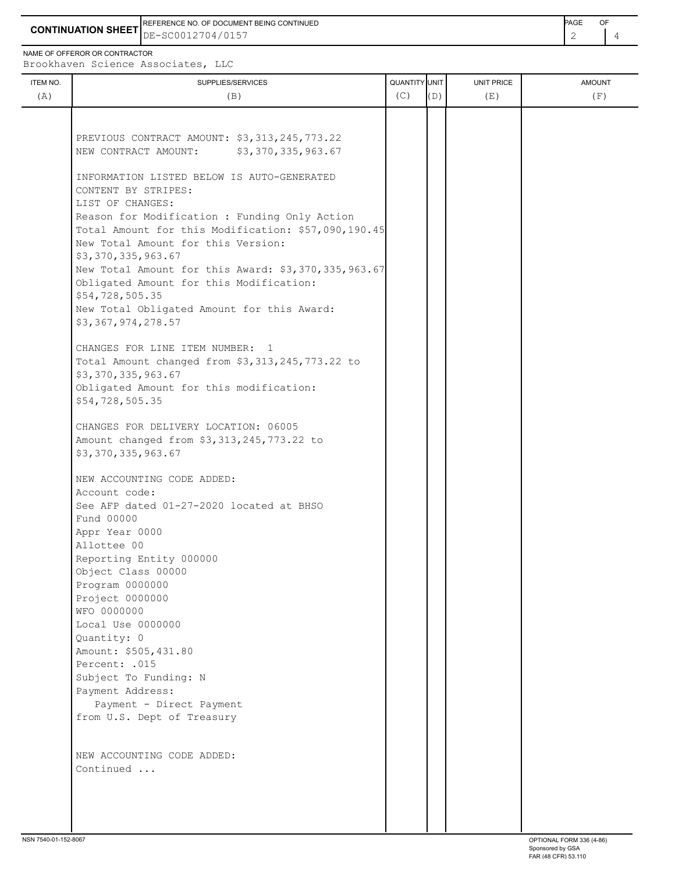**CONTINUATION SHEET** DE-SC0012704/0157 2 4 REFERENCE NO. OF DOCUMENT BEING CONTINUED **Example 2008** PAGE OF

NAME OF OFFEROR OR CONTRACTOR

Brookhaven Science Associates, LLC

| ITEM NO.<br>(A) | broomaven berenee nobeeracco,<br>SUPPLIES/SERVICES<br>(B)                                                                                                                            | QUANTITY UNIT<br>(C) | (D) | UNIT PRICE<br>(E) | <b>AMOUNT</b><br>(F) |
|-----------------|--------------------------------------------------------------------------------------------------------------------------------------------------------------------------------------|----------------------|-----|-------------------|----------------------|
|                 |                                                                                                                                                                                      |                      |     |                   |                      |
|                 | PREVIOUS CONTRACT AMOUNT: \$3,313,245,773.22<br>\$3,370,335,963.67<br>NEW CONTRACT AMOUNT:                                                                                           |                      |     |                   |                      |
|                 | INFORMATION LISTED BELOW IS AUTO-GENERATED<br>CONTENT BY STRIPES:                                                                                                                    |                      |     |                   |                      |
|                 | LIST OF CHANGES:<br>Reason for Modification : Funding Only Action<br>Total Amount for this Modification: \$57,090,190.45<br>New Total Amount for this Version:<br>\$3,370,335,963.67 |                      |     |                   |                      |
|                 | New Total Amount for this Award: \$3,370,335,963.67<br>Obligated Amount for this Modification:<br>\$54,728,505.35                                                                    |                      |     |                   |                      |
|                 | New Total Obligated Amount for this Award:<br>\$3,367,974,278.57                                                                                                                     |                      |     |                   |                      |
|                 | CHANGES FOR LINE ITEM NUMBER: 1<br>Total Amount changed from \$3,313,245,773.22 to<br>\$3,370,335,963.67<br>Obligated Amount for this modification:                                  |                      |     |                   |                      |
|                 | \$54,728,505.35                                                                                                                                                                      |                      |     |                   |                      |
|                 | CHANGES FOR DELIVERY LOCATION: 06005<br>Amount changed from \$3,313,245,773.22 to<br>\$3,370,335,963.67                                                                              |                      |     |                   |                      |
|                 |                                                                                                                                                                                      |                      |     |                   |                      |
|                 | NEW ACCOUNTING CODE ADDED:<br>Account code:                                                                                                                                          |                      |     |                   |                      |
|                 | See AFP dated 01-27-2020 located at BHSO                                                                                                                                             |                      |     |                   |                      |
|                 | Fund 00000                                                                                                                                                                           |                      |     |                   |                      |
|                 | Appr Year 0000                                                                                                                                                                       |                      |     |                   |                      |
|                 | Allottee 00                                                                                                                                                                          |                      |     |                   |                      |
|                 | Reporting Entity 000000<br>Object Class 00000                                                                                                                                        |                      |     |                   |                      |
|                 | Program 0000000                                                                                                                                                                      |                      |     |                   |                      |
|                 | Project 0000000                                                                                                                                                                      |                      |     |                   |                      |
|                 | WFO 0000000                                                                                                                                                                          |                      |     |                   |                      |
|                 | Local Use 0000000                                                                                                                                                                    |                      |     |                   |                      |
|                 | Quantity: 0                                                                                                                                                                          |                      |     |                   |                      |
|                 | Amount: \$505,431.80                                                                                                                                                                 |                      |     |                   |                      |
|                 | Percent: .015<br>Subject To Funding: N                                                                                                                                               |                      |     |                   |                      |
|                 | Payment Address:                                                                                                                                                                     |                      |     |                   |                      |
|                 | Payment - Direct Payment                                                                                                                                                             |                      |     |                   |                      |
|                 | from U.S. Dept of Treasury                                                                                                                                                           |                      |     |                   |                      |
|                 | NEW ACCOUNTING CODE ADDED:                                                                                                                                                           |                      |     |                   |                      |
|                 | Continued                                                                                                                                                                            |                      |     |                   |                      |
|                 |                                                                                                                                                                                      |                      |     |                   |                      |
|                 |                                                                                                                                                                                      |                      |     |                   |                      |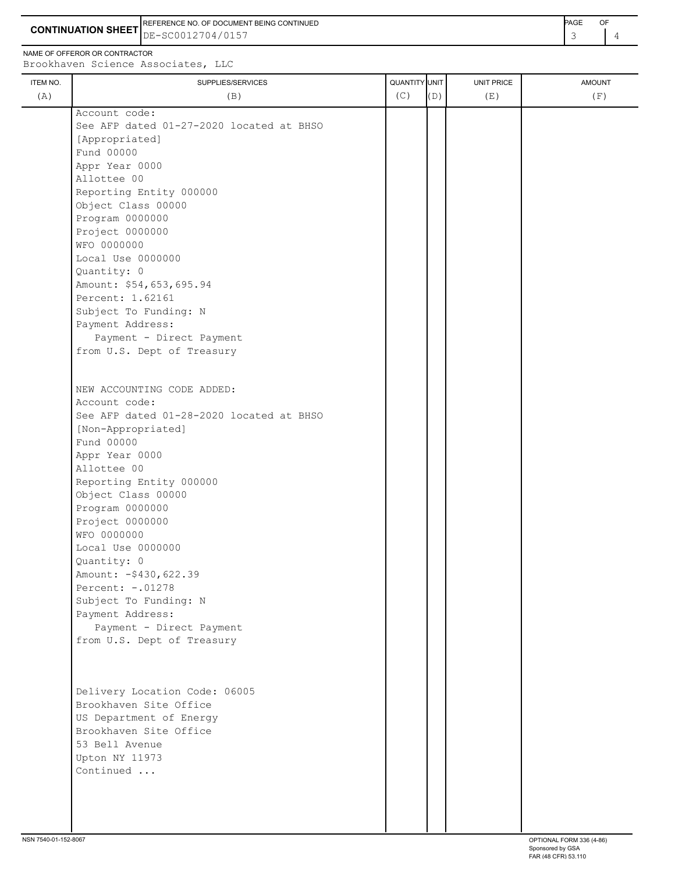**CONTINUATION SHEET** DE-SC0012704/0157 **And the set of the set of the set of the set of the set of the set of the set of the set of the set of the set of the set of the set of the set of the set of the set of the set of th** REFERENCE NO. OF DOCUMENT BEING CONTINUED **AGE ACCUMENT ACCUMENT OF A CONTINUED** 

NAME OF OFFEROR OR CONTRACTOR

| ITEM NO. | QUANTITY UNIT<br>SUPPLIES/SERVICES       |     |     | <b>UNIT PRICE</b> | <b>AMOUNT</b> |
|----------|------------------------------------------|-----|-----|-------------------|---------------|
| (A)      | (B)                                      | (C) | (D) | (E)               | (F)           |
|          | Account code:                            |     |     |                   |               |
|          | See AFP dated 01-27-2020 located at BHSO |     |     |                   |               |
|          | [Appropriated]                           |     |     |                   |               |
|          | Fund 00000                               |     |     |                   |               |
|          | Appr Year 0000                           |     |     |                   |               |
|          | Allottee 00                              |     |     |                   |               |
|          | Reporting Entity 000000                  |     |     |                   |               |
|          | Object Class 00000                       |     |     |                   |               |
|          | Program 0000000                          |     |     |                   |               |
|          | Project 0000000                          |     |     |                   |               |
|          | WFO 0000000                              |     |     |                   |               |
|          | Local Use 0000000                        |     |     |                   |               |
|          | Quantity: 0                              |     |     |                   |               |
|          | Amount: \$54,653,695.94                  |     |     |                   |               |
|          | Percent: 1.62161                         |     |     |                   |               |
|          | Subject To Funding: N                    |     |     |                   |               |
|          | Payment Address:                         |     |     |                   |               |
|          | Payment - Direct Payment                 |     |     |                   |               |
|          | from U.S. Dept of Treasury               |     |     |                   |               |
|          |                                          |     |     |                   |               |
|          |                                          |     |     |                   |               |
|          | NEW ACCOUNTING CODE ADDED:               |     |     |                   |               |
|          | Account code:                            |     |     |                   |               |
|          | See AFP dated 01-28-2020 located at BHSO |     |     |                   |               |
|          | [Non-Appropriated]                       |     |     |                   |               |
|          | Fund 00000                               |     |     |                   |               |
|          | Appr Year 0000                           |     |     |                   |               |
|          | Allottee 00                              |     |     |                   |               |
|          | Reporting Entity 000000                  |     |     |                   |               |
|          | Object Class 00000                       |     |     |                   |               |
|          | Program 0000000                          |     |     |                   |               |
|          | Project 0000000                          |     |     |                   |               |
|          | WFO 0000000                              |     |     |                   |               |
|          | Local Use 0000000                        |     |     |                   |               |
|          | Quantity: 0                              |     |     |                   |               |
|          | Amount: - \$430, 622.39                  |     |     |                   |               |
|          | Percent: -. 01278                        |     |     |                   |               |
|          | Subject To Funding: N                    |     |     |                   |               |
|          | Payment Address:                         |     |     |                   |               |
|          | Payment - Direct Payment                 |     |     |                   |               |
|          | from U.S. Dept of Treasury               |     |     |                   |               |
|          |                                          |     |     |                   |               |
|          |                                          |     |     |                   |               |
|          | Delivery Location Code: 06005            |     |     |                   |               |
|          | Brookhaven Site Office                   |     |     |                   |               |
|          | US Department of Energy                  |     |     |                   |               |
|          | Brookhaven Site Office                   |     |     |                   |               |
|          | 53 Bell Avenue                           |     |     |                   |               |
|          | Upton NY 11973                           |     |     |                   |               |
|          | Continued                                |     |     |                   |               |
|          |                                          |     |     |                   |               |
|          |                                          |     |     |                   |               |
|          |                                          |     |     |                   |               |